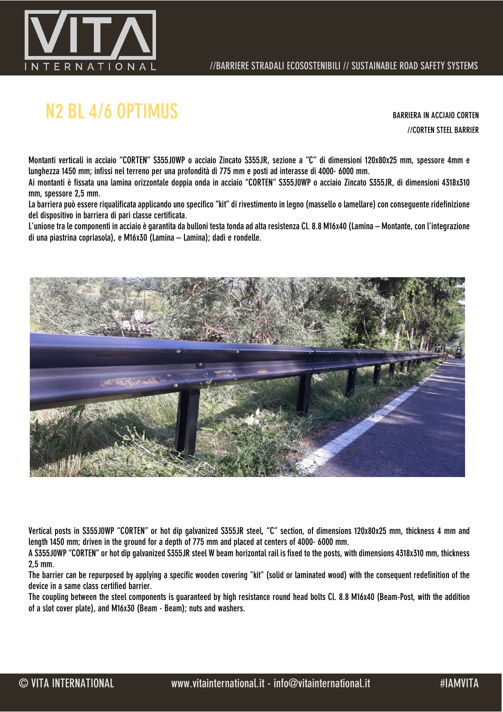

# N2 BL 4/6 OPTIMUS BARRIERA IN ACCIAIO CORTEN

//CORTEN STEEL BARRIER

Montanti verticali in acciaio "CORTEN" S355J0WP o acciaio Zincato S355JR, sezione a "C" di dimensioni 120x80x25 mm, spessore 4mm e lunghezza 1450 mm; infissi nel terreno per una profondità di 775 mm e posti ad interasse di 4000- 6000 mm.

Ai montanti è fissata una lamina orizzontale doppia onda in acciaio "CORTEN" S355J0WP o acciaio Zincato S355JR, di dimensioni 4318x310 mm, spessore 2,5 mm.

La barriera può essere riqualificata applicando uno specifico "kit" di rivestimento in legno (massello o lamellare) con conseguente ridefinizione del dispositivo in barriera di pari classe certificata.

L'unione tra le componenti in acciaio è garantita da bulloni testa tonda ad alta resistenza Cl. 8.8 M16x40 (Lamina – Montante, con l'integrazione di una piastrina copriasola), e M16x30 (Lamina – Lamina); dadi e rondelle.



Vertical posts in S355J0WP "CORTEN" or hot dip galvanized S355JR steel, "C" section, of dimensions 120x80x25 mm, thickness 4 mm and length 1450 mm; driven in the ground for a depth of 775 mm and placed at centers of 4000- 6000 mm.

A S355J0WP "CORTEN" or hot dip galvanized S355JR steel W beam horizontal rail is fixed to the posts, with dimensions 4318x310 mm, thickness 2,5 mm.

The barrier can be repurposed by applying a specific wooden covering "kit" (solid or laminated wood) with the consequent redefinition of the device in a same class certified barrier.

The coupling between the steel components is guaranteed by high resistance round head bolts Cl. 8.8 M16x40 (Beam-Post, with the addition of a slot cover plate), and M16x30 (Beam - Beam); nuts and washers.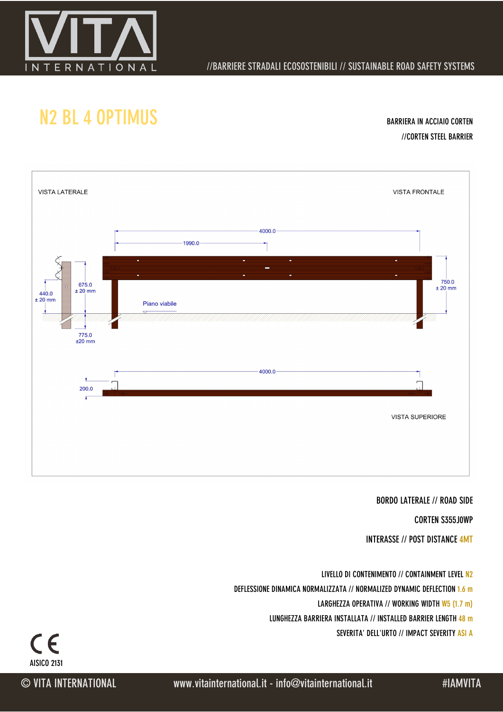

### //BARRIERE STRADALI ECOSOSTENIBILI // SUSTAINABLE ROAD SAFETY SYSTEMS

## N2 BL 4 OPTIMUS BARRIERA IN ACCIAIO CORTEN

//CORTEN STEEL BARRIER



#### BORDO LATERALE // ROAD SIDE

CORTEN S355J0WP

INTERASSE // POST DISTANCE 4MT

LIVELLO DI CONTENIMENTO // CONTAINMENT LEVEL N2 DEFLESSIONE DINAMICA NORMALIZZATA // NORMALIZED DYNAMIC DEFLECTION 1.6 m LARGHEZZA OPERATIVA // WORKING WIDTH W5 (1.7 m) LUNGHEZZA BARRIERA INSTALLATA // INSTALLED BARRIER LENGTH 48 m

SEVERITA' DELL'URTO // IMPACT SEVERITY ASI A